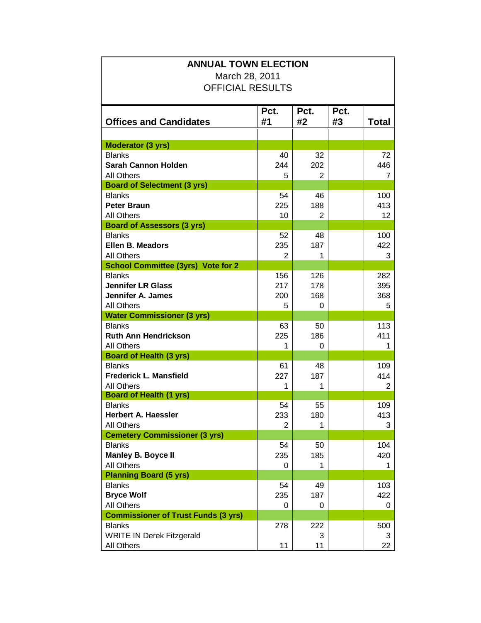| <b>ANNUAL TOWN ELECTION</b><br>March 28, 2011 |      |      |      |                |  |  |
|-----------------------------------------------|------|------|------|----------------|--|--|
|                                               |      |      |      |                |  |  |
|                                               |      |      |      |                |  |  |
|                                               | Pct. | Pct. | Pct. |                |  |  |
| <b>Offices and Candidates</b>                 | #1   | #2   | #3   | Total          |  |  |
|                                               |      |      |      |                |  |  |
| <b>Moderator (3 yrs)</b>                      |      |      |      |                |  |  |
| <b>Blanks</b>                                 | 40   | 32   |      | 72             |  |  |
| <b>Sarah Cannon Holden</b>                    | 244  | 202  |      | 446            |  |  |
| <b>All Others</b>                             | 5    | 2    |      | 7              |  |  |
| <b>Board of Selectment (3 yrs)</b>            |      |      |      |                |  |  |
| <b>Blanks</b>                                 | 54   | 46   |      | 100            |  |  |
| <b>Peter Braun</b>                            | 225  | 188  |      | 413            |  |  |
| All Others                                    | 10   | 2    |      | 12             |  |  |
| <b>Board of Assessors (3 yrs)</b>             |      |      |      |                |  |  |
| <b>Blanks</b>                                 | 52   | 48   |      | 100            |  |  |
| <b>Ellen B. Meadors</b>                       | 235  | 187  |      | 422            |  |  |
| All Others                                    | 2    | 1    |      | 3              |  |  |
| <b>School Committee (3yrs) Vote for 2</b>     |      |      |      |                |  |  |
| <b>Blanks</b>                                 | 156  | 126  |      | 282            |  |  |
| <b>Jennifer LR Glass</b>                      | 217  | 178  |      | 395            |  |  |
| Jennifer A. James                             | 200  | 168  |      | 368            |  |  |
| <b>All Others</b>                             | 5    | 0    |      | 5              |  |  |
| <b>Water Commissioner (3 yrs)</b>             |      |      |      |                |  |  |
| <b>Blanks</b>                                 | 63   | 50   |      | 113            |  |  |
| <b>Ruth Ann Hendrickson</b>                   | 225  | 186  |      | 411            |  |  |
| All Others                                    | 1    | 0    |      | 1              |  |  |
| <b>Board of Health (3 yrs)</b>                |      |      |      |                |  |  |
| <b>Blanks</b>                                 | 61   | 48   |      | 109            |  |  |
| <b>Frederick L. Mansfield</b>                 | 227  | 187  |      | 414            |  |  |
| All Others<br><b>Board of Health (1 yrs)</b>  | 1    | 1    |      | $\overline{2}$ |  |  |
| <b>Blanks</b>                                 | 54   | 55   |      | 109            |  |  |
| <b>Herbert A. Haessler</b>                    | 233  | 180  |      | 413            |  |  |
| <b>All Others</b>                             | 2    |      |      | 3              |  |  |
| <b>Cemetery Commissioner (3 yrs)</b>          |      |      |      |                |  |  |
| <b>Blanks</b>                                 | 54   | 50   |      | 104            |  |  |
| <b>Manley B. Boyce II</b>                     | 235  | 185  |      | 420            |  |  |
| <b>All Others</b>                             | 0    | 1    |      | 1              |  |  |
| <b>Planning Board (5 yrs)</b>                 |      |      |      |                |  |  |
| <b>Blanks</b>                                 | 54   | 49   |      | 103            |  |  |
| <b>Bryce Wolf</b>                             | 235  | 187  |      | 422            |  |  |
| <b>All Others</b>                             | 0    | 0    |      | 0              |  |  |
| <b>Commissioner of Trust Funds (3 yrs)</b>    |      |      |      |                |  |  |
| <b>Blanks</b>                                 | 278  | 222  |      | 500            |  |  |
| <b>WRITE IN Derek Fitzgerald</b>              |      | 3    |      | 3              |  |  |
| All Others                                    | 11   | 11   |      | 22             |  |  |